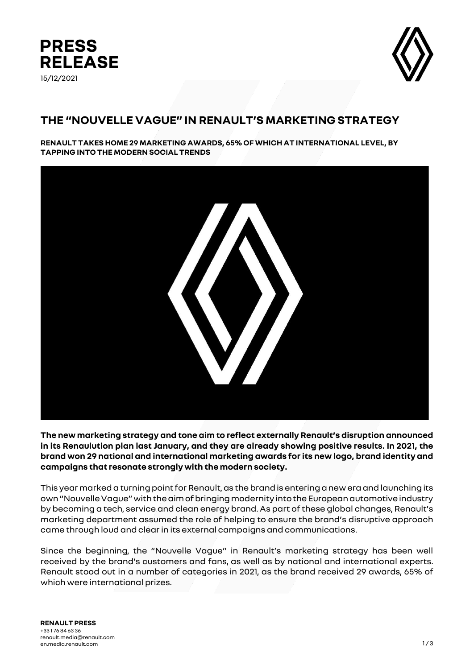





# **THE "NOUVELLE VAGUE" IN RENAULT'S MARKETING STRATEGY**

**RENAULT TAKES HOME 29 MARKETING AWARDS, 65% OF WHICH AT INTERNATIONAL LEVEL, BY TAPPING INTO THE MODERN SOCIAL TRENDS**



**The new marketing strategy and tone aim to reflect externally Renault's disruption announced in its Renaulution plan last January, and they are already showing positive results. In 2021, the brand won 29 national and international marketing awards for its new logo, brand identity and campaigns that resonate strongly with the modern society.**

This year marked a turning point for Renault, as the brand is enteringa new era and launching its own "Nouvelle Vague" with the aim of bringing modernity into the European automotive industry by becoming a tech, service and clean energy brand. As part of these global changes, Renault's marketing department assumed the role of helping to ensure the brand's disruptive approach came through loud and clear in its external campaigns and communications.

Since the beginning, the "Nouvelle Vague" in Renault's marketing strategy has been well received by the brand's customers and fans, as well as by national and international experts. Renault stood out in a number of categories in 2021, as the brand received 29 awards, 65% of which were international prizes.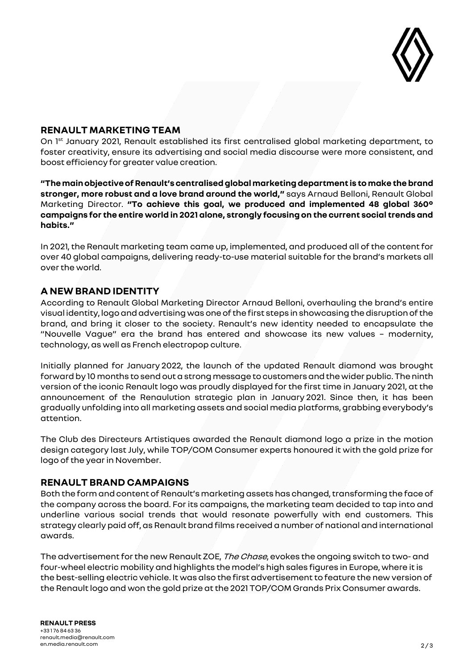

#### **RENAULT MARKETING TEAM**

On 1<sup>st</sup> January 2021, Renault established its first centralised global marketing department, to foster creativity, ensure its advertising and social media discourse were more consistent, and boost efficiency for greater value creation.

**"The main objective of Renault'scentralisedglobal marketing department is to make the brand stronger, more robust and a love brand around the world,"** says Arnaud Belloni, Renault Global Marketing Director. **"To achieve this goal, we produced and implemented 48 global 360° campaigns for the entire world in 2021 alone, strongly focusing on the current social trends and habits."**

In 2021, the Renault marketing team came up, implemented, and produced all of the content for over 40 global campaigns, delivering ready-to-use material suitable for the brand's markets all over the world.

## **A NEW BRAND IDENTITY**

According to Renault Global Marketing Director Arnaud Belloni, overhauling the brand's entire visual identity, logoand advertising was one ofthe first steps in showcasingthe disruption of the brand, and bring it closer to the society. Renault's new identity needed to encapsulate the "Nouvelle Vague" era the brand has entered and showcase its new values – modernity, technology, as well as French electropop culture.

Initially planned for January 2022, the launch of the updated Renault diamond was brought forward by 10 months to send out a strong message to customers and the wider public. The ninth version of the iconic Renault logo was proudly displayed for the first time in January 2021, atthe announcement of the Renaulution strategic plan in January 2021. Since then, it has been gradually unfolding into all marketing assets and social media platforms, grabbing everybody's attention.

The Club des Directeurs Artistiques awarded the Renault diamond logo a prize in the motion design category last July, while TOP/COM Consumer experts honoured it with the gold prize for logo of the year in November.

## **RENAULT BRAND CAMPAIGNS**

Both the form and content of Renault's marketing assets has changed, transforming the face of the company across the board. For its campaigns, the marketing team decided to tap into and underline various social trends that would resonate powerfully with end customers. This strategy clearly paid off, as Renault brand films received a number of national and international awards.

The advertisement for the new Renault ZOE, The Chase, evokes the ongoing switch to two- and four-wheel electric mobility and highlights the model's high sales figures in Europe, where it is the best-selling electric vehicle. It was also the first advertisement to feature the new version of the Renault logo and won the gold prize at the 2021 TOP/COM Grands Prix Consumer awards.